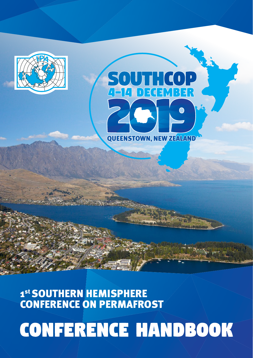## SOUTH COP  $\sqrt{4}$   $\sqrt{4}$  $M373$  $D$  =( ▏┪ **QUEENSTOWN, NEW ZEALAND®**

1st SOUTHERN HEMISPHERE **CONFERENCE ON PERMAFROST** 

# **CONFERENCE HANDBOOK**